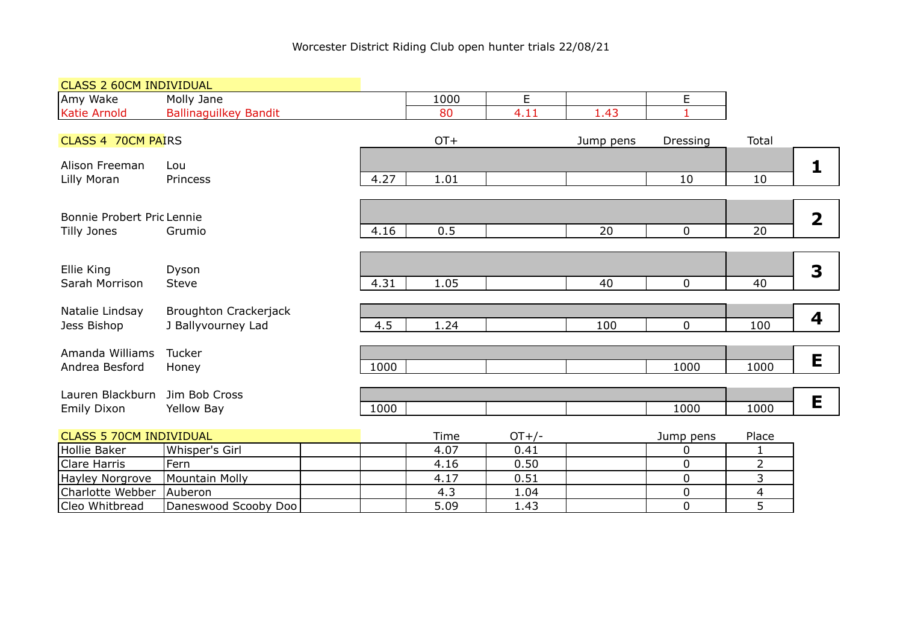| <b>CLASS 2 60CM INDIVIDUAL</b> |                              |      |        |               |           |             |       |                         |
|--------------------------------|------------------------------|------|--------|---------------|-----------|-------------|-------|-------------------------|
| Amy Wake                       | Molly Jane                   |      | 1000   | E             |           | E           |       |                         |
| Katie Arnold                   | <b>Ballinaguilkey Bandit</b> |      | 80     | 4.11          | 1.43      | 1           |       |                         |
| <b>CLASS 4 70CM PAIRS</b>      |                              |      | $OT+$  |               | Jump pens | Dressing    | Total |                         |
|                                |                              |      |        |               |           |             |       |                         |
| Alison Freeman                 | Lou                          |      |        |               |           |             |       |                         |
| Lilly Moran                    | Princess                     | 4.27 | 1.01   |               |           | 10          | 10    |                         |
|                                |                              |      |        |               |           |             |       |                         |
| Bonnie Probert Pric Lennie     |                              |      |        |               |           |             |       | $\overline{\mathbf{2}}$ |
| Tilly Jones                    | Grumio                       | 4.16 | 0.5    |               | 20        | $\mathbf 0$ | 20    |                         |
|                                |                              |      |        |               |           |             |       |                         |
| Ellie King                     | Dyson                        |      |        |               |           |             |       | 3                       |
| Sarah Morrison                 | Steve                        | 4.31 | 1.05   |               | 40        | $\mathbf 0$ | 40    |                         |
|                                |                              |      |        |               |           |             |       |                         |
| Natalie Lindsay                | Broughton Crackerjack        |      |        |               |           |             |       | 4                       |
| Jess Bishop                    | J Ballyvourney Lad           | 4.5  | 1.24   |               | 100       | $\mathbf 0$ | 100   |                         |
| Amanda Williams                | Tucker                       |      |        |               |           |             |       |                         |
| Andrea Besford                 | Honey                        | 1000 |        |               |           | 1000        | 1000  | E                       |
|                                |                              |      |        |               |           |             |       |                         |
| Lauren Blackburn               | Jim Bob Cross                |      |        |               |           |             |       | E                       |
| Emily Dixon                    | Yellow Bay                   | 1000 |        |               |           | 1000        | 1000  |                         |
| <b>CLASS 5 70CM INDIVIDUAL</b> |                              |      | Time   | $OT+/-$       |           | Jump pens   | Place |                         |
| $\frac{1}{2}$                  |                              |      | $\sim$ | $\sim$ $\sim$ |           | $\sim$      |       |                         |

|                          |                      | .    |      | JUILLY PUIL | ---- |
|--------------------------|----------------------|------|------|-------------|------|
| <b>Hollie Baker</b>      | Whisper's Girl       | 4.07 | 0.41 |             |      |
| Clare Harris             | l Fern               | 4.16 | 0.50 |             |      |
| Hayley Norgrove          | Mountain Molly       | 4.17 | 0.51 |             |      |
| Charlotte Webber Auberon |                      | ن. 4 | ∟04. |             |      |
| Cleo Whitbread           | Daneswood Scooby Doo | 5.09 | 1.43 |             |      |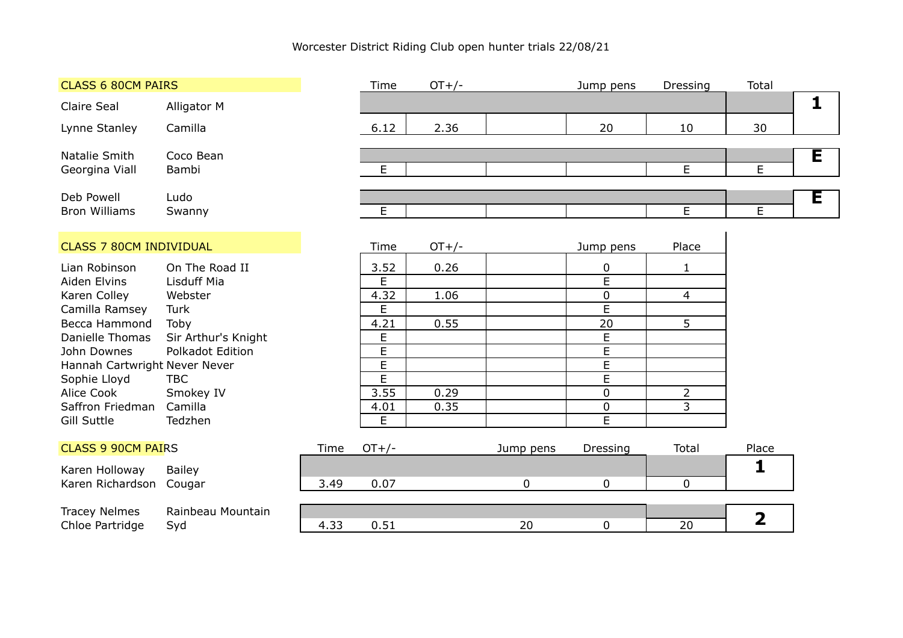| <b>CLASS 6 80CM PAIRS</b>                              |                     |      | Time           | $OT+/-$ |           | Jump pens                   | Dressing       | Total                   |   |
|--------------------------------------------------------|---------------------|------|----------------|---------|-----------|-----------------------------|----------------|-------------------------|---|
| Claire Seal<br>Alligator M                             |                     |      |                |         |           |                             |                |                         | 1 |
| Lynne Stanley<br>Camilla                               |                     |      | 6.12           | 2.36    |           | 20                          | 10             | 30                      |   |
| Natalie Smith<br>Coco Bean                             |                     |      |                |         |           |                             |                |                         | Ē |
| Bambi<br>Georgina Viall                                |                     |      | E              |         |           |                             | E              | E                       |   |
| Deb Powell<br>Ludo                                     |                     |      |                |         |           |                             |                |                         | Е |
| <b>Bron Williams</b><br>Swanny                         |                     |      | E              |         |           |                             | $\overline{E}$ | E                       |   |
|                                                        |                     |      |                |         |           |                             |                |                         |   |
| <b>CLASS 7 80CM INDIVIDUAL</b>                         |                     |      | Time           | $OT+/-$ |           | Jump pens                   | Place          |                         |   |
| Lian Robinson                                          | On The Road II      |      | 3.52           | 0.26    |           | $\pmb{0}$                   | $\mathbf{1}$   |                         |   |
| Aiden Elvins<br>Lisduff Mia<br>Karen Colley<br>Webster |                     |      | E<br>4.32      | 1.06    |           | $\overline{E}$<br>$\pmb{0}$ | $\overline{4}$ |                         |   |
| Camilla Ramsey<br>Turk                                 |                     |      | E              |         |           | $\overline{E}$              |                |                         |   |
| Becca Hammond<br>Toby                                  |                     |      | 4.21           | 0.55    |           | 20                          | 5              |                         |   |
| Danielle Thomas                                        | Sir Arthur's Knight |      | $\mathsf E$    |         |           | $\overline{E}$              |                |                         |   |
| John Downes                                            | Polkadot Edition    |      | $\overline{E}$ |         |           | $\overline{E}$              |                |                         |   |
| Hannah Cartwright Never Never                          |                     |      | $\overline{E}$ |         |           | $\overline{\mathsf{E}}$     |                |                         |   |
| Sophie Lloyd<br><b>TBC</b><br>Alice Cook<br>Smokey IV  |                     |      | E<br>3.55      | 0.29    |           | E<br>$\mathbf 0$            | $\overline{2}$ |                         |   |
| Saffron Friedman<br>Camilla                            |                     |      | 4.01           | 0.35    |           | $\pmb{0}$                   | 3              |                         |   |
| <b>Gill Suttle</b><br>Tedzhen                          |                     |      | E              |         |           | $\overline{E}$              |                |                         |   |
|                                                        |                     |      |                |         |           |                             |                |                         |   |
| <b>CLASS 9 90CM PAIRS</b>                              |                     | Time | $OT+/-$        |         | Jump pens | Dressing                    | Total          | Place                   |   |
| Karen Holloway<br><b>Bailey</b>                        |                     |      |                |         |           |                             |                |                         |   |
| Karen Richardson<br>Cougar                             |                     | 3.49 | 0.07           |         | 0         | 0                           | $\mathbf 0$    |                         |   |
| <b>Tracey Nelmes</b>                                   | Rainbeau Mountain   |      |                |         |           |                             |                |                         |   |
| Chloe Partridge<br>Syd                                 |                     | 4.33 | 0.51           |         | 20        | 0                           | 20             | $\overline{\mathbf{2}}$ |   |